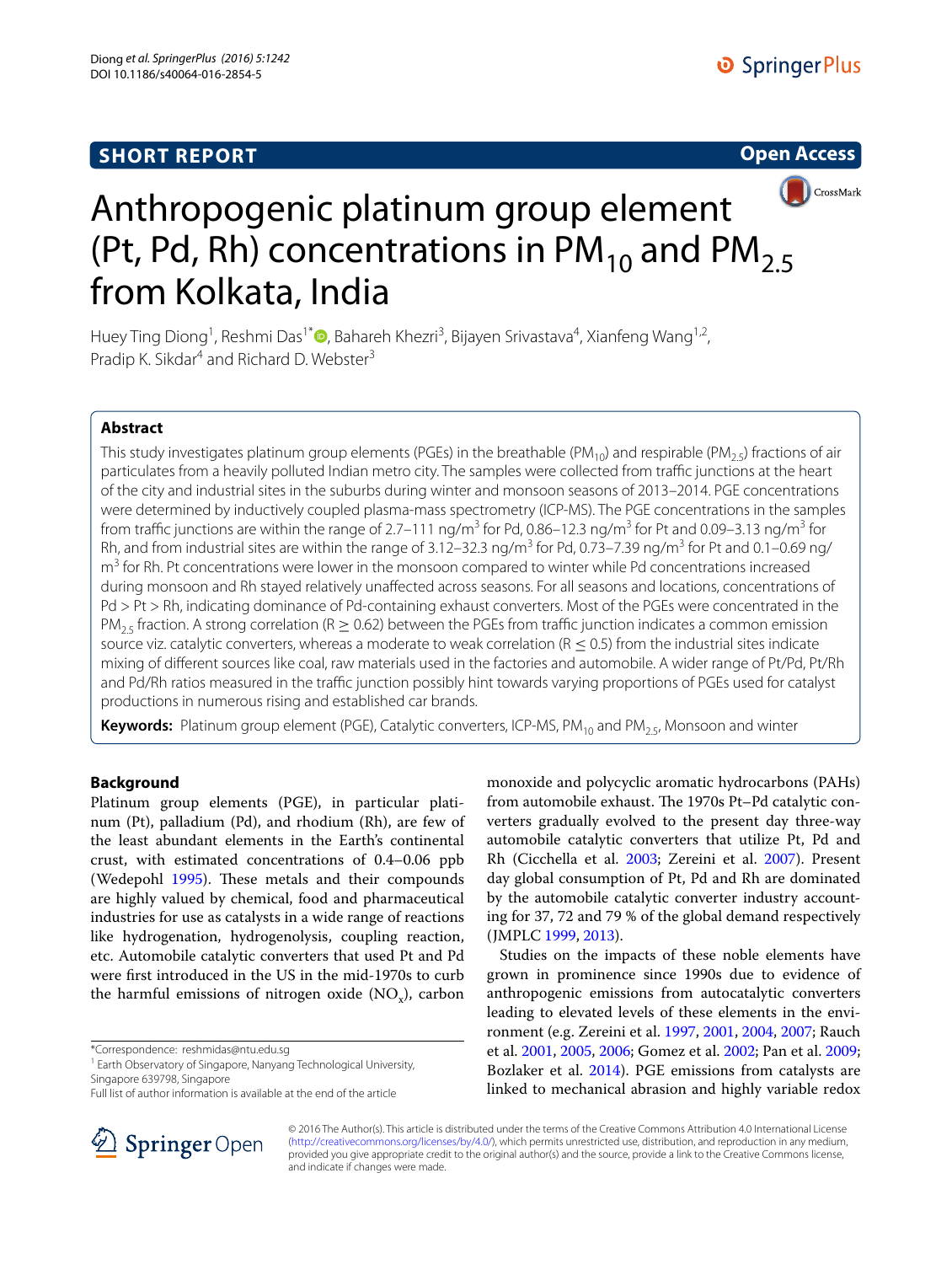# **SHORT REPORT**





# Anthropogenic platinum group element (Pt, Pd, Rh) concentrations in PM<sub>10</sub> and PM<sub>2.5</sub> from Kolkata, India

Huey Ting Diong<sup>1</sup>[,](http://orcid.org/0000-0002-1729-8937) Reshmi Das<sup>1\*</sup>®, Bahareh Khezri<sup>3</sup>, Bijayen Srivastava<sup>4</sup>, Xianfeng Wang<sup>1,2</sup>, Pradip K. Sikdar<sup>4</sup> and Richard D. Webster<sup>3</sup>

# **Abstract**

This study investigates platinum group elements (PGEs) in the breathable (PM<sub>10</sub>) and respirable (PM<sub>2.5</sub>) fractions of air particulates from a heavily polluted Indian metro city. The samples were collected from traffic junctions at the heart of the city and industrial sites in the suburbs during winter and monsoon seasons of 2013–2014. PGE concentrations were determined by inductively coupled plasma-mass spectrometry (ICP-MS). The PGE concentrations in the samples from traffic junctions are within the range of 2.7–111 ng/m<sup>3</sup> for Pd, 0.86–12.3 ng/m<sup>3</sup> for Pt and 0.09–3.13 ng/m<sup>3</sup> for Rh, and from industrial sites are within the range of 3.12–32.3 ng/m<sup>3</sup> for Pd, 0.73–7.39 ng/m<sup>3</sup> for Pt and 0.1–0.69 ng/ m<sup>3</sup> for Rh. Pt concentrations were lower in the monsoon compared to winter while Pd concentrations increased during monsoon and Rh stayed relatively unaffected across seasons. For all seasons and locations, concentrations of Pd > Pt > Rh, indicating dominance of Pd-containing exhaust converters. Most of the PGEs were concentrated in the PM<sub>2.5</sub> fraction. A strong correlation (R  $\geq$  0.62) between the PGEs from traffic junction indicates a common emission source viz. catalytic converters, whereas a moderate to weak correlation ( $R \le 0.5$ ) from the industrial sites indicate mixing of different sources like coal, raw materials used in the factories and automobile. A wider range of Pt/Pd, Pt/Rh and Pd/Rh ratios measured in the traffic junction possibly hint towards varying proportions of PGEs used for catalyst productions in numerous rising and established car brands.

**Keywords:** Platinum group element (PGE), Catalytic converters, ICP-MS, PM<sub>10</sub> and PM<sub>25</sub>, Monsoon and winter

# **Background**

Platinum group elements (PGE), in particular platinum (Pt), palladium (Pd), and rhodium (Rh), are few of the least abundant elements in the Earth's continental crust, with estimated concentrations of 0.4–0.06 ppb (Wedepohl [1995\)](#page-8-0). These metals and their compounds are highly valued by chemical, food and pharmaceutical industries for use as catalysts in a wide range of reactions like hydrogenation, hydrogenolysis, coupling reaction, etc. Automobile catalytic converters that used Pt and Pd were first introduced in the US in the mid-1970s to curb the harmful emissions of nitrogen oxide  $(NO_x)$ , carbon

\*Correspondence: reshmidas@ntu.edu.sg

<sup>1</sup> Earth Observatory of Singapore, Nanyang Technological University, Singapore 639798, Singapore



Studies on the impacts of these noble elements have grown in prominence since 1990s due to evidence of anthropogenic emissions from autocatalytic converters leading to elevated levels of these elements in the environment (e.g. Zereini et al. [1997](#page-8-2), [2001,](#page-8-3) [2004](#page-8-4), [2007](#page-8-1); Rauch et al. [2001](#page-8-5), [2005](#page-8-6), [2006;](#page-8-7) Gomez et al. [2002;](#page-7-3) Pan et al. [2009](#page-8-8); Bozlaker et al. [2014](#page-7-4)). PGE emissions from catalysts are linked to mechanical abrasion and highly variable redox



© 2016 The Author(s). This article is distributed under the terms of the Creative Commons Attribution 4.0 International License [\(http://creativecommons.org/licenses/by/4.0/\)](http://creativecommons.org/licenses/by/4.0/), which permits unrestricted use, distribution, and reproduction in any medium, provided you give appropriate credit to the original author(s) and the source, provide a link to the Creative Commons license, and indicate if changes were made.

Full list of author information is available at the end of the article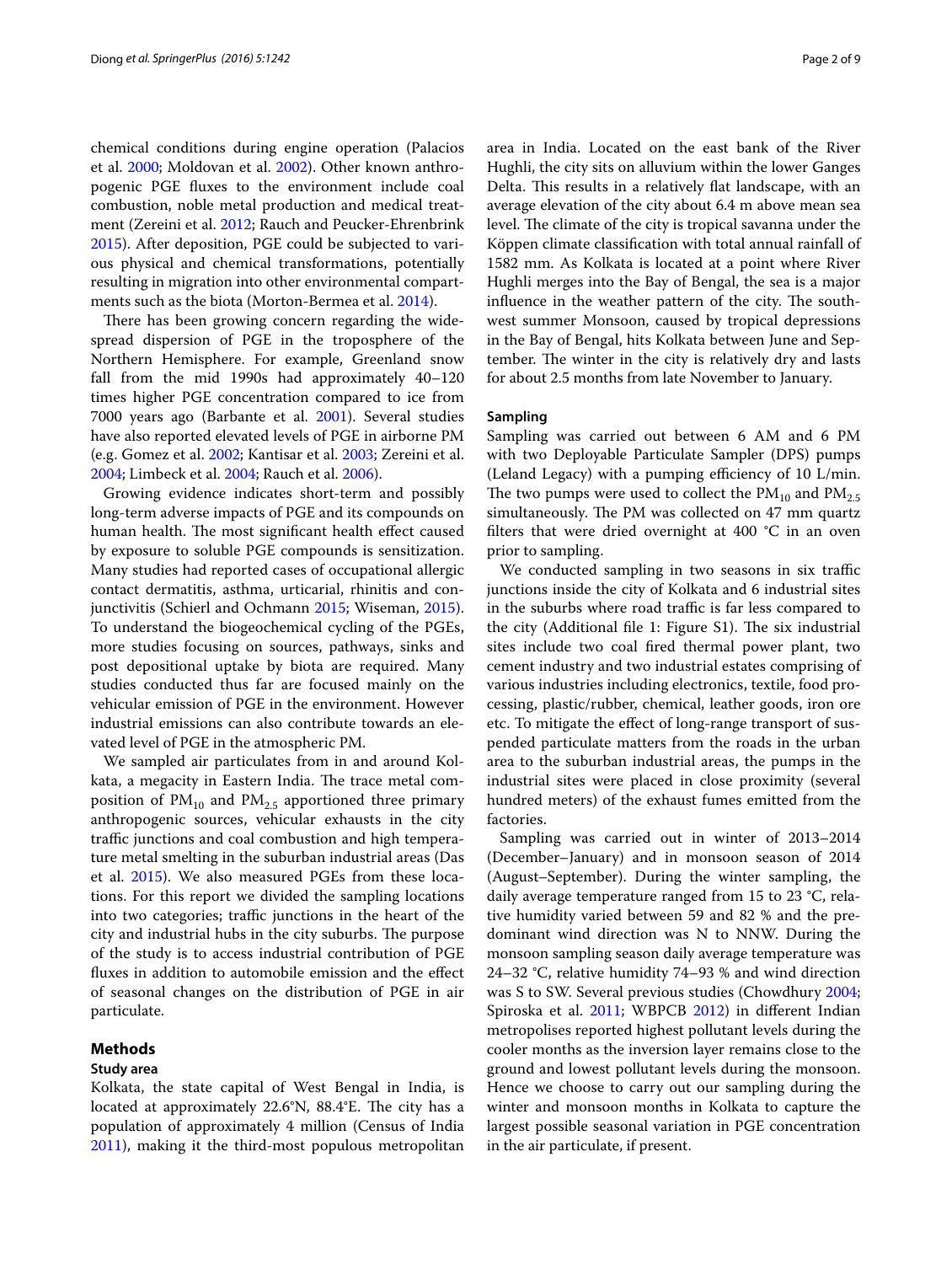chemical conditions during engine operation (Palacios et al. [2000](#page-7-5); Moldovan et al. [2002](#page-7-6)). Other known anthropogenic PGE fluxes to the environment include coal combustion, noble metal production and medical treatment (Zereini et al. [2012;](#page-8-9) Rauch and Peucker-Ehrenbrink [2015](#page-8-10)). After deposition, PGE could be subjected to various physical and chemical transformations, potentially resulting in migration into other environmental compartments such as the biota (Morton-Bermea et al. [2014](#page-7-7)).

There has been growing concern regarding the widespread dispersion of PGE in the troposphere of the Northern Hemisphere. For example, Greenland snow fall from the mid 1990s had approximately 40–120 times higher PGE concentration compared to ice from 7000 years ago (Barbante et al. [2001](#page-7-8)). Several studies have also reported elevated levels of PGE in airborne PM (e.g. Gomez et al. [2002](#page-7-3); Kantisar et al. [2003;](#page-7-9) Zereini et al. [2004](#page-8-4); Limbeck et al. [2004](#page-7-10); Rauch et al. [2006\)](#page-8-7).

Growing evidence indicates short-term and possibly long-term adverse impacts of PGE and its compounds on human health. The most significant health effect caused by exposure to soluble PGE compounds is sensitization. Many studies had reported cases of occupational allergic contact dermatitis, asthma, urticarial, rhinitis and conjunctivitis (Schierl and Ochmann [2015;](#page-8-11) Wiseman, [2015](#page-8-12)). To understand the biogeochemical cycling of the PGEs, more studies focusing on sources, pathways, sinks and post depositional uptake by biota are required. Many studies conducted thus far are focused mainly on the vehicular emission of PGE in the environment. However industrial emissions can also contribute towards an elevated level of PGE in the atmospheric PM.

We sampled air particulates from in and around Kolkata, a megacity in Eastern India. The trace metal composition of  $PM_{10}$  and  $PM_{2.5}$  apportioned three primary anthropogenic sources, vehicular exhausts in the city traffic junctions and coal combustion and high temperature metal smelting in the suburban industrial areas (Das et al. [2015\)](#page-7-11). We also measured PGEs from these locations. For this report we divided the sampling locations into two categories; traffic junctions in the heart of the city and industrial hubs in the city suburbs. The purpose of the study is to access industrial contribution of PGE fluxes in addition to automobile emission and the effect of seasonal changes on the distribution of PGE in air particulate.

### **Methods**

### **Study area**

Kolkata, the state capital of West Bengal in India, is located at approximately 22.6°N, 88.4°E. The city has a population of approximately 4 million (Census of India [2011](#page-7-12)), making it the third-most populous metropolitan area in India. Located on the east bank of the River Hughli, the city sits on alluvium within the lower Ganges Delta. This results in a relatively flat landscape, with an average elevation of the city about 6.4 m above mean sea level. The climate of the city is tropical savanna under the Köppen climate classification with total annual rainfall of 1582 mm. As Kolkata is located at a point where River Hughli merges into the Bay of Bengal, the sea is a major influence in the weather pattern of the city. The southwest summer Monsoon, caused by tropical depressions in the Bay of Bengal, hits Kolkata between June and September. The winter in the city is relatively dry and lasts for about 2.5 months from late November to January.

# **Sampling**

Sampling was carried out between 6 AM and 6 PM with two Deployable Particulate Sampler (DPS) pumps (Leland Legacy) with a pumping efficiency of 10 L/min. The two pumps were used to collect the  $PM_{10}$  and  $PM_{2.5}$ simultaneously. The PM was collected on 47 mm quartz filters that were dried overnight at 400 °C in an oven prior to sampling.

We conducted sampling in two seasons in six traffic junctions inside the city of Kolkata and 6 industrial sites in the suburbs where road traffic is far less compared to the city (Additional file 1: Figure S1). The six industrial sites include two coal fired thermal power plant, two cement industry and two industrial estates comprising of various industries including electronics, textile, food processing, plastic/rubber, chemical, leather goods, iron ore etc. To mitigate the effect of long-range transport of suspended particulate matters from the roads in the urban area to the suburban industrial areas, the pumps in the industrial sites were placed in close proximity (several hundred meters) of the exhaust fumes emitted from the factories.

Sampling was carried out in winter of 2013–2014 (December–January) and in monsoon season of 2014 (August–September). During the winter sampling, the daily average temperature ranged from 15 to 23 °C, relative humidity varied between 59 and 82 % and the predominant wind direction was N to NNW. During the monsoon sampling season daily average temperature was 24–32 °C, relative humidity 74–93 % and wind direction was S to SW. Several previous studies (Chowdhury [2004](#page-7-13); Spiroska et al. [2011;](#page-8-13) WBPCB [2012](#page-8-14)) in different Indian metropolises reported highest pollutant levels during the cooler months as the inversion layer remains close to the ground and lowest pollutant levels during the monsoon. Hence we choose to carry out our sampling during the winter and monsoon months in Kolkata to capture the largest possible seasonal variation in PGE concentration in the air particulate, if present.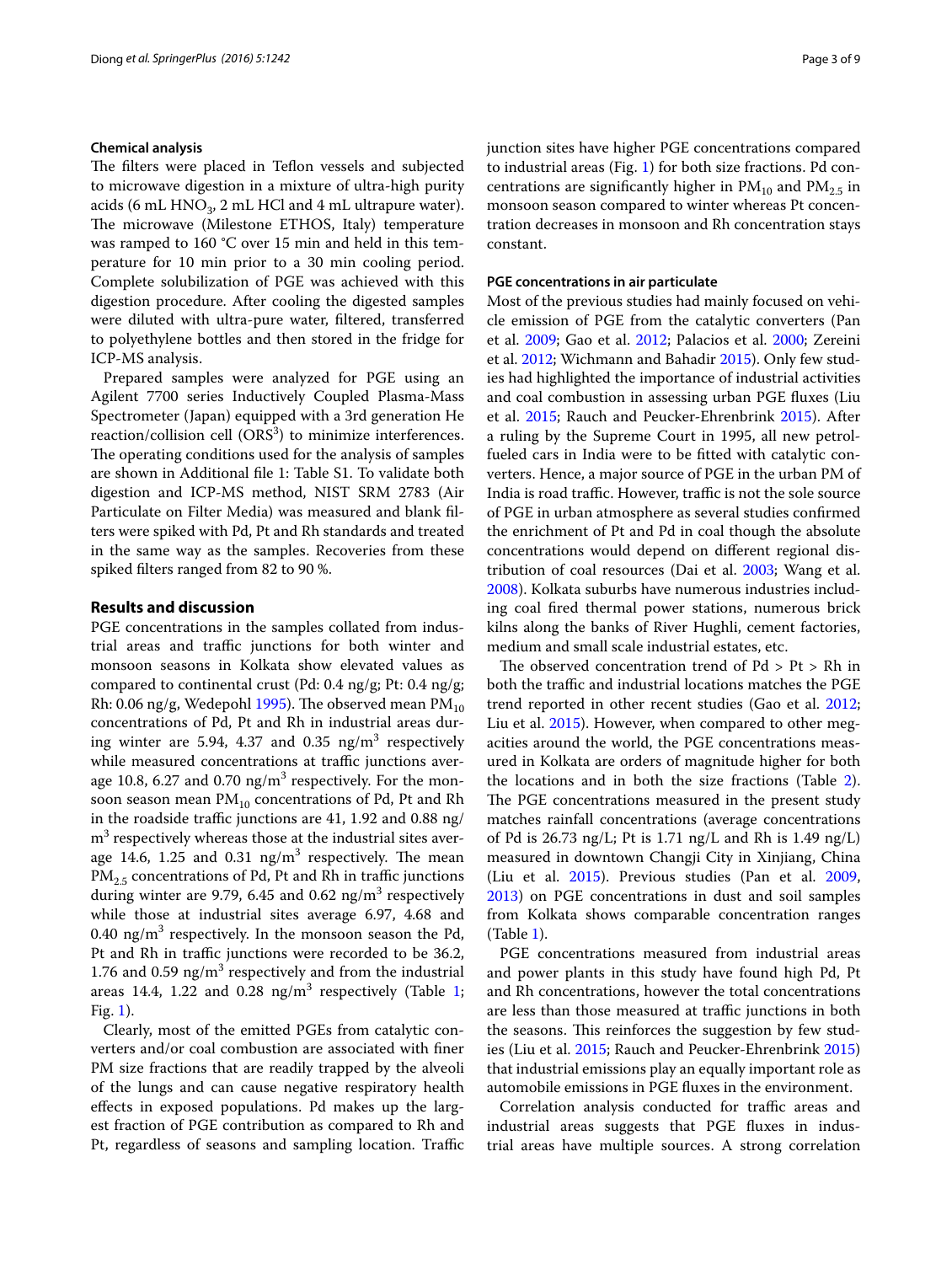### **Chemical analysis**

The filters were placed in Teflon vessels and subjected to microwave digestion in a mixture of ultra-high purity acids (6 mL  $HNO<sub>3</sub>$ , 2 mL HCl and 4 mL ultrapure water). The microwave (Milestone ETHOS, Italy) temperature was ramped to 160 °C over 15 min and held in this temperature for 10 min prior to a 30 min cooling period. Complete solubilization of PGE was achieved with this digestion procedure. After cooling the digested samples were diluted with ultra-pure water, filtered, transferred to polyethylene bottles and then stored in the fridge for ICP-MS analysis.

Prepared samples were analyzed for PGE using an Agilent 7700 series Inductively Coupled Plasma-Mass Spectrometer (Japan) equipped with a 3rd generation He reaction/collision cell  $(ORS^3)$  to minimize interferences. The operating conditions used for the analysis of samples are shown in Additional file 1: Table S1. To validate both digestion and ICP-MS method, NIST SRM 2783 (Air Particulate on Filter Media) was measured and blank filters were spiked with Pd, Pt and Rh standards and treated in the same way as the samples. Recoveries from these spiked filters ranged from 82 to 90 %.

# **Results and discussion**

PGE concentrations in the samples collated from industrial areas and traffic junctions for both winter and monsoon seasons in Kolkata show elevated values as compared to continental crust (Pd: 0.4 ng/g; Pt: 0.4 ng/g; Rh: 0.06 ng/g, Wedepohl [1995](#page-8-0)). The observed mean  $\text{PM}_{10}$ concentrations of Pd, Pt and Rh in industrial areas during winter are 5.94, 4.37 and 0.35  $\text{ng/m}^3$  respectively while measured concentrations at traffic junctions average 10.8, 6.27 and 0.70  $\mathrm{ng/m^{3}}$  respectively. For the monsoon season mean  $PM_{10}$  concentrations of Pd, Pt and Rh in the roadside traffic junctions are 41, 1.92 and 0.88 ng/  $\text{m}^{3}$  respectively whereas those at the industrial sites average 14.6, 1.25 and 0.31  $\text{ng/m}^3$  respectively. The mean PM<sub>2.5</sub> concentrations of Pd, Pt and Rh in traffic junctions during winter are 9.79, 6.45 and 0.62 ng/m $^3$  respectively while those at industrial sites average 6.97, 4.68 and 0.40  $\mathrm{ng/m^{3}}$  respectively. In the monsoon season the Pd, Pt and Rh in traffic junctions were recorded to be 36.2, 1.76 and 0.59  $\text{ng/m}^3$  respectively and from the industrial areas [1](#page-3-0)4.4, 1.22 and 0.28  $\text{ng/m}^3$  respectively (Table 1; Fig. [1\)](#page-4-0).

Clearly, most of the emitted PGEs from catalytic converters and/or coal combustion are associated with finer PM size fractions that are readily trapped by the alveoli of the lungs and can cause negative respiratory health effects in exposed populations. Pd makes up the largest fraction of PGE contribution as compared to Rh and Pt, regardless of seasons and sampling location. Traffic junction sites have higher PGE concentrations compared to industrial areas (Fig. [1](#page-4-0)) for both size fractions. Pd concentrations are significantly higher in  $PM_{10}$  and  $PM_{2.5}$  in monsoon season compared to winter whereas Pt concentration decreases in monsoon and Rh concentration stays constant.

#### **PGE concentrations in air particulate**

Most of the previous studies had mainly focused on vehicle emission of PGE from the catalytic converters (Pan et al. [2009](#page-8-8); Gao et al. [2012;](#page-7-14) Palacios et al. [2000](#page-7-5); Zereini et al. [2012](#page-8-9); Wichmann and Bahadir [2015](#page-8-15)). Only few studies had highlighted the importance of industrial activities and coal combustion in assessing urban PGE fluxes (Liu et al. [2015;](#page-7-15) Rauch and Peucker-Ehrenbrink [2015](#page-8-10)). After a ruling by the Supreme Court in 1995, all new petrolfueled cars in India were to be fitted with catalytic converters. Hence, a major source of PGE in the urban PM of India is road traffic. However, traffic is not the sole source of PGE in urban atmosphere as several studies confirmed the enrichment of Pt and Pd in coal though the absolute concentrations would depend on different regional distribution of coal resources (Dai et al. [2003;](#page-7-16) Wang et al. [2008](#page-8-16)). Kolkata suburbs have numerous industries including coal fired thermal power stations, numerous brick kilns along the banks of River Hughli, cement factories, medium and small scale industrial estates, etc.

The observed concentration trend of  $Pd > Pt > Rh$  in both the traffic and industrial locations matches the PGE trend reported in other recent studies (Gao et al. [2012](#page-7-14); Liu et al. [2015](#page-7-15)). However, when compared to other megacities around the world, the PGE concentrations measured in Kolkata are orders of magnitude higher for both the locations and in both the size fractions (Table [2](#page-5-0)). The PGE concentrations measured in the present study matches rainfall concentrations (average concentrations of Pd is 26.73 ng/L; Pt is 1.71 ng/L and Rh is 1.49 ng/L) measured in downtown Changji City in Xinjiang, China (Liu et al. [2015\)](#page-7-15). Previous studies (Pan et al. [2009](#page-8-8), [2013](#page-8-17)) on PGE concentrations in dust and soil samples from Kolkata shows comparable concentration ranges (Table [1\)](#page-3-0).

PGE concentrations measured from industrial areas and power plants in this study have found high Pd, Pt and Rh concentrations, however the total concentrations are less than those measured at traffic junctions in both the seasons. This reinforces the suggestion by few studies (Liu et al. [2015;](#page-7-15) Rauch and Peucker-Ehrenbrink [2015](#page-8-10)) that industrial emissions play an equally important role as automobile emissions in PGE fluxes in the environment.

Correlation analysis conducted for traffic areas and industrial areas suggests that PGE fluxes in industrial areas have multiple sources. A strong correlation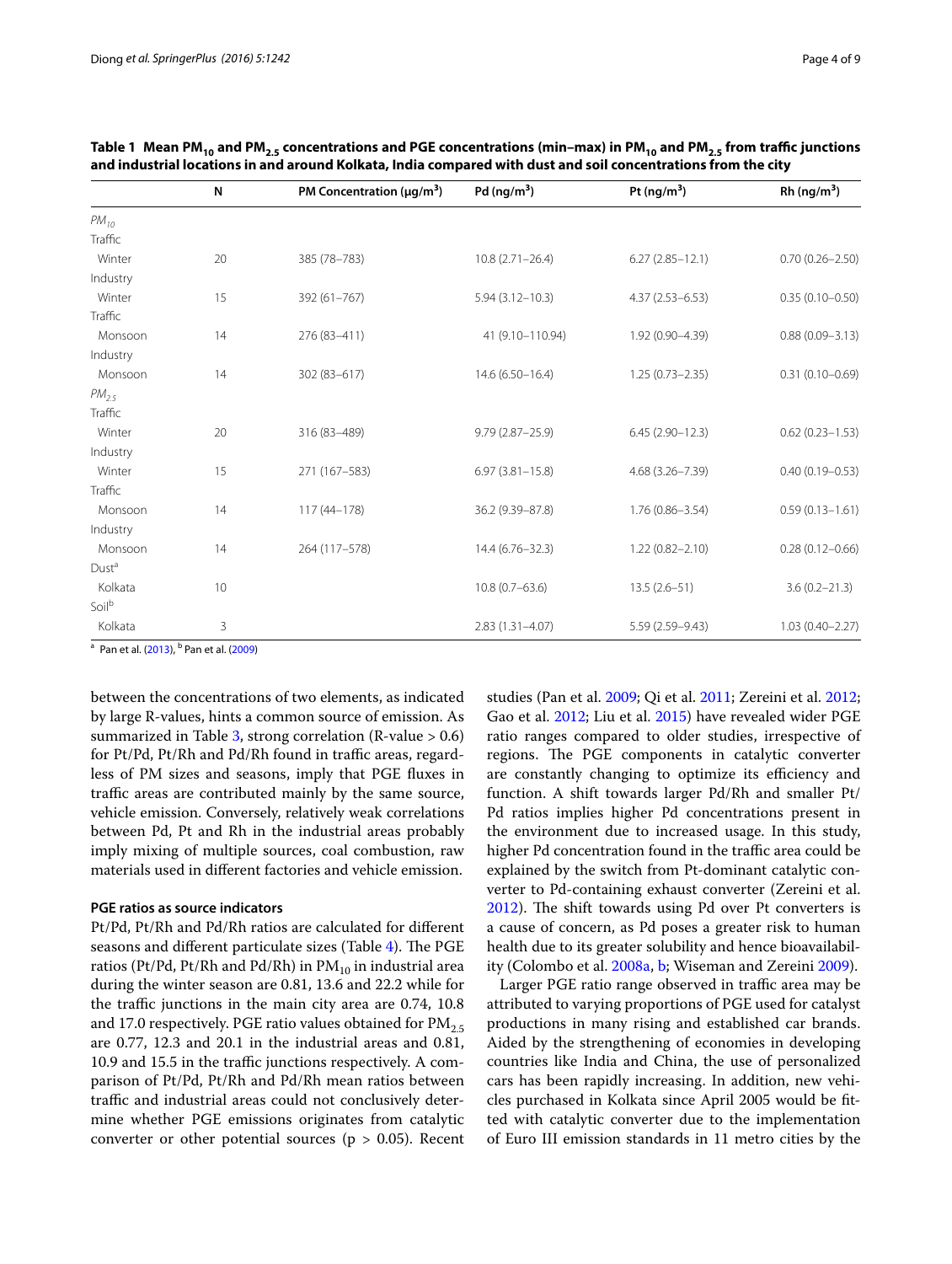|                   | N  | PM Concentration ( $\mu$ g/m <sup>3</sup> ) | Pd $(ng/m^3)$       | Pt $(ng/m^3)$       | Rh (ng/m <sup>3</sup> ) |
|-------------------|----|---------------------------------------------|---------------------|---------------------|-------------------------|
| $PM_{10}$         |    |                                             |                     |                     |                         |
| Traffic           |    |                                             |                     |                     |                         |
| Winter            | 20 | 385 (78-783)                                | $10.8(2.71 - 26.4)$ | $6.27(2.85 - 12.1)$ | $0.70(0.26 - 2.50)$     |
| Industry          |    |                                             |                     |                     |                         |
| Winter            | 15 | 392 (61-767)                                | $5.94(3.12 - 10.3)$ | $4.37(2.53 - 6.53)$ | $0.35(0.10 - 0.50)$     |
| Traffic           |    |                                             |                     |                     |                         |
| Monsoon           | 14 | 276 (83-411)                                | 41 (9.10-110.94)    | 1.92 (0.90-4.39)    | $0.88(0.09 - 3.13)$     |
| Industry          |    |                                             |                     |                     |                         |
| Monsoon           | 14 | 302 (83-617)                                | $14.6(6.50-16.4)$   | $1.25(0.73 - 2.35)$ | $0.31(0.10 - 0.69)$     |
| $PM_{2.5}$        |    |                                             |                     |                     |                         |
| Traffic           |    |                                             |                     |                     |                         |
| Winter            | 20 | 316 (83-489)                                | $9.79(2.87 - 25.9)$ | $6.45(2.90-12.3)$   | $0.62(0.23 - 1.53)$     |
| Industry          |    |                                             |                     |                     |                         |
| Winter            | 15 | 271 (167-583)                               | $6.97(3.81 - 15.8)$ | 4.68 (3.26-7.39)    | $0.40(0.19 - 0.53)$     |
| Traffic           |    |                                             |                     |                     |                         |
| Monsoon           | 14 | $117(44 - 178)$                             | 36.2 (9.39-87.8)    | $1.76(0.86 - 3.54)$ | $0.59(0.13 - 1.61)$     |
| Industry          |    |                                             |                     |                     |                         |
| Monsoon           | 14 | 264 (117-578)                               | 14.4 (6.76-32.3)    | $1.22(0.82 - 2.10)$ | $0.28(0.12 - 0.66)$     |
| Dust <sup>a</sup> |    |                                             |                     |                     |                         |
| Kolkata           | 10 |                                             | $10.8(0.7 - 63.6)$  | $13.5(2.6-51)$      | $3.6(0.2 - 21.3)$       |
| Soil <sup>b</sup> |    |                                             |                     |                     |                         |
| Kolkata           | 3  |                                             | $2.83(1.31 - 4.07)$ | 5.59 (2.59-9.43)    | $1.03(0.40 - 2.27)$     |

<span id="page-3-0"></span>Table 1 Mean PM<sub>10</sub> and PM<sub>2.5</sub> concentrations and PGE concentrations (min–max) in PM<sub>10</sub> and PM<sub>2.5</sub> from traffic junctions **and industrial locations in and around Kolkata, India compared with dust and soil concentrations from the city**

<sup>a</sup> Pan et al. [\(2013](#page-8-17)), <sup>b</sup> Pan et al. [\(2009](#page-8-8))

between the concentrations of two elements, as indicated by large R-values, hints a common source of emission. As summarized in Table [3](#page-5-1), strong correlation (R-value  $> 0.6$ ) for Pt/Pd, Pt/Rh and Pd/Rh found in traffic areas, regardless of PM sizes and seasons, imply that PGE fluxes in traffic areas are contributed mainly by the same source, vehicle emission. Conversely, relatively weak correlations between Pd, Pt and Rh in the industrial areas probably imply mixing of multiple sources, coal combustion, raw materials used in different factories and vehicle emission.

## **PGE ratios as source indicators**

Pt/Pd, Pt/Rh and Pd/Rh ratios are calculated for different seasons and different particulate sizes (Table [4](#page-6-0)). The PGE ratios (Pt/Pd, Pt/Rh and Pd/Rh) in  $PM_{10}$  in industrial area during the winter season are 0.81, 13.6 and 22.2 while for the traffic junctions in the main city area are 0.74, 10.8 and 17.0 respectively. PGE ratio values obtained for  $PM_{2.5}$ are 0.77, 12.3 and 20.1 in the industrial areas and 0.81, 10.9 and 15.5 in the traffic junctions respectively. A comparison of Pt/Pd, Pt/Rh and Pd/Rh mean ratios between traffic and industrial areas could not conclusively determine whether PGE emissions originates from catalytic converter or other potential sources ( $p > 0.05$ ). Recent studies (Pan et al. [2009;](#page-8-8) Qi et al. [2011;](#page-8-18) Zereini et al. [2012](#page-8-9); Gao et al. [2012;](#page-7-14) Liu et al. [2015\)](#page-7-15) have revealed wider PGE ratio ranges compared to older studies, irrespective of regions. The PGE components in catalytic converter are constantly changing to optimize its efficiency and function. A shift towards larger Pd/Rh and smaller Pt/ Pd ratios implies higher Pd concentrations present in the environment due to increased usage. In this study, higher Pd concentration found in the traffic area could be explained by the switch from Pt-dominant catalytic converter to Pd-containing exhaust converter (Zereini et al. [2012](#page-8-9)). The shift towards using Pd over Pt converters is a cause of concern, as Pd poses a greater risk to human health due to its greater solubility and hence bioavailability (Colombo et al. [2008a](#page-7-17), [b;](#page-7-18) Wiseman and Zereini [2009\)](#page-8-19).

Larger PGE ratio range observed in traffic area may be attributed to varying proportions of PGE used for catalyst productions in many rising and established car brands. Aided by the strengthening of economies in developing countries like India and China, the use of personalized cars has been rapidly increasing. In addition, new vehicles purchased in Kolkata since April 2005 would be fitted with catalytic converter due to the implementation of Euro III emission standards in 11 metro cities by the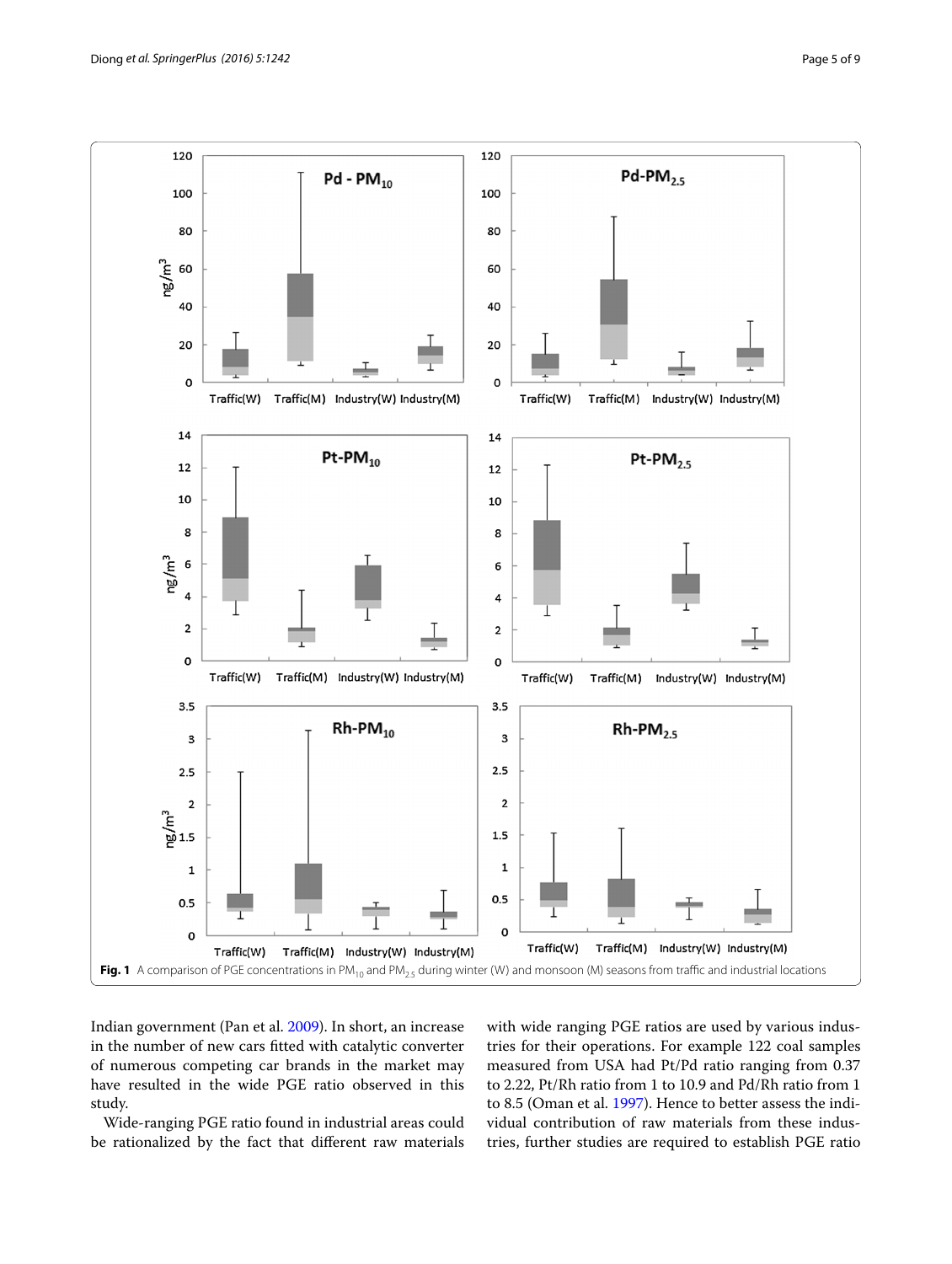

<span id="page-4-0"></span>Indian government (Pan et al. [2009\)](#page-8-8). In short, an increase in the number of new cars fitted with catalytic converter of numerous competing car brands in the market may have resulted in the wide PGE ratio observed in this study.

Wide-ranging PGE ratio found in industrial areas could be rationalized by the fact that different raw materials with wide ranging PGE ratios are used by various industries for their operations. For example 122 coal samples measured from USA had Pt/Pd ratio ranging from 0.37 to 2.22, Pt/Rh ratio from 1 to 10.9 and Pd/Rh ratio from 1 to 8.5 (Oman et al. [1997\)](#page-7-19). Hence to better assess the individual contribution of raw materials from these industries, further studies are required to establish PGE ratio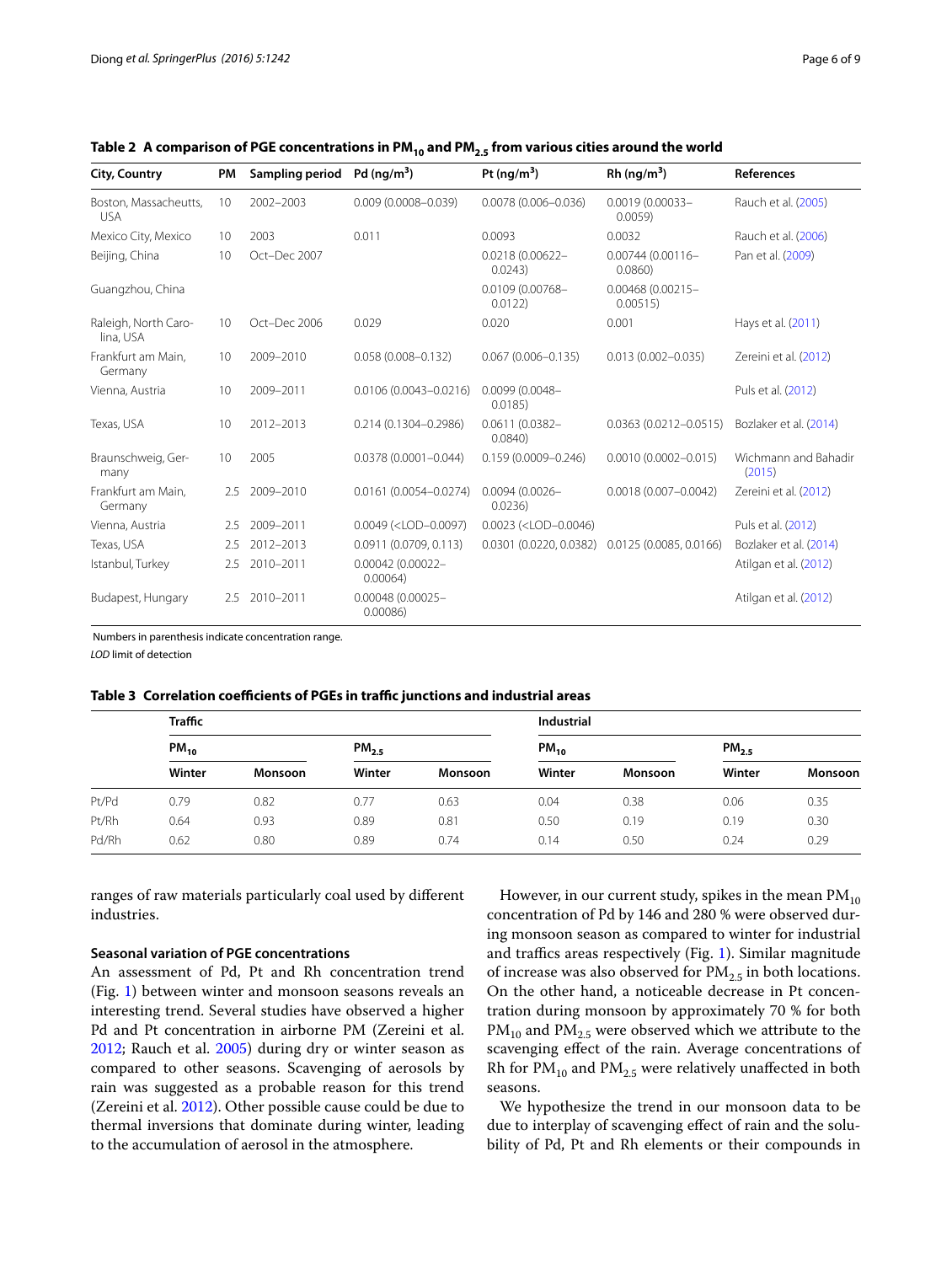| <b>City, Country</b>                | PM  | Sampling period | Pd $(nq/m^3)$                                                                                                                                       | Pt (ng/m <sup>3</sup> )                                                            | Rh (ng/m <sup>3</sup> )       | References                     |
|-------------------------------------|-----|-----------------|-----------------------------------------------------------------------------------------------------------------------------------------------------|------------------------------------------------------------------------------------|-------------------------------|--------------------------------|
| Boston, Massacheutts,<br><b>USA</b> | 10  | 2002-2003       | $0.009(0.0008 - 0.039)$                                                                                                                             | $0.0078(0.006 - 0.036)$                                                            | $0.0019(0.00033 -$<br>0.0059  | Rauch et al. (2005)            |
| Mexico City, Mexico                 | 10  | 2003            | 0.011                                                                                                                                               | 0.0093                                                                             | 0.0032                        | Rauch et al. (2006)            |
| Beijing, China                      | 10  | Oct-Dec 2007    |                                                                                                                                                     | 0.0218 (0.00622-<br>0.0243                                                         | $0.00744(0.00116 -$<br>0.0860 | Pan et al. (2009)              |
| Guangzhou, China                    |     |                 |                                                                                                                                                     | 0.0109 (0.00768-<br>0.0122                                                         | 0.00468 (0.00215-<br>0.00515  |                                |
| Raleigh, North Caro-<br>lina, USA   | 10  | Oct-Dec 2006    | 0.029                                                                                                                                               | 0.020                                                                              | 0.001                         | Hays et al. (2011)             |
| Frankfurt am Main,<br>Germany       | 10  | 2009-2010       | $0.058(0.008 - 0.132)$                                                                                                                              | $0.067(0.006 - 0.135)$                                                             | $0.013(0.002 - 0.035)$        | Zereini et al. (2012)          |
| Vienna, Austria                     | 10  | 2009-2011       | 0.0106 (0.0043-0.0216)                                                                                                                              | 0.0099 (0.0048-<br>0.0185)                                                         |                               | Puls et al. (2012)             |
| Texas, USA                          | 10  | 2012-2013       | 0.214 (0.1304-0.2986)                                                                                                                               | 0.0611 (0.0382-<br>0.0840                                                          | $0.0363(0.0212 - 0.0515)$     | Bozlaker et al. (2014)         |
| Braunschweig, Ger-<br>many          | 10  | 2005            | $0.0378(0.0001 - 0.044)$                                                                                                                            | $0.159(0.0009 - 0.246)$                                                            | $0.0010(0.0002 - 0.015)$      | Wichmann and Bahadir<br>(2015) |
| Frankfurt am Main,<br>Germany       | 2.5 | 2009-2010       | 0.0161 (0.0054-0.0274)                                                                                                                              | 0.0094 (0.0026-<br>0.0236                                                          | $0.0018(0.007 - 0.0042)$      | Zereini et al. (2012)          |
| Vienna, Austria                     | 2.5 | 2009-2011       | $0.0049$ ( <lod-0.0097)< td=""><td><math>0.0023</math> (<lod-0.0046)< td=""><td></td><td>Puls et al. (2012)</td></lod-0.0046)<></td></lod-0.0097)<> | $0.0023$ ( <lod-0.0046)< td=""><td></td><td>Puls et al. (2012)</td></lod-0.0046)<> |                               | Puls et al. (2012)             |
| Texas, USA                          | 2.5 | 2012-2013       | 0.0911 (0.0709, 0.113)                                                                                                                              | 0.0301 (0.0220, 0.0382)                                                            | 0.0125(0.0085, 0.0166)        | Bozlaker et al. (2014)         |
| Istanbul, Turkey                    | 2.5 | 2010-2011       | 0.00042 (0.00022-<br>0.00064)                                                                                                                       |                                                                                    |                               | Atilgan et al. (2012)          |
| Budapest, Hungary                   | 2.5 | 2010-2011       | 0.00048 (0.00025-<br>0.00086                                                                                                                        |                                                                                    |                               | Atilgan et al. (2012)          |

<span id="page-5-0"></span>Table 2 A comparison of PGE concentrations in PM<sub>10</sub> and PM<sub>2.5</sub> from various cities around the world

Numbers in parenthesis indicate concentration range.

*LOD* limit of detection

<span id="page-5-1"></span>

|  |  | Table 3 Correlation coefficients of PGEs in traffic junctions and industrial areas |  |  |  |  |  |
|--|--|------------------------------------------------------------------------------------|--|--|--|--|--|
|--|--|------------------------------------------------------------------------------------|--|--|--|--|--|

|       | <b>Traffic</b> |         |                   |                | <b>Industrial</b> |         |           |                |  |
|-------|----------------|---------|-------------------|----------------|-------------------|---------|-----------|----------------|--|
|       | $PM_{10}$      |         | PM <sub>2.5</sub> |                | $PM_{10}$         |         | $PM_{25}$ |                |  |
|       | Winter         | Monsoon | Winter            | <b>Monsoon</b> | Winter            | Monsoon | Winter    | <b>Monsoon</b> |  |
| Pt/Pd | 0.79           | 0.82    | 0.77              | 0.63           | 0.04              | 0.38    | 0.06      | 0.35           |  |
| Pt/Rh | 0.64           | 0.93    | 0.89              | 0.81           | 0.50              | 0.19    | 0.19      | 0.30           |  |
| Pd/Rh | 0.62           | 0.80    | 0.89              | 0.74           | 0.14              | 0.50    | 0.24      | 0.29           |  |

ranges of raw materials particularly coal used by different industries.

## **Seasonal variation of PGE concentrations**

An assessment of Pd, Pt and Rh concentration trend (Fig. [1\)](#page-4-0) between winter and monsoon seasons reveals an interesting trend. Several studies have observed a higher Pd and Pt concentration in airborne PM (Zereini et al. [2012](#page-8-9); Rauch et al. [2005\)](#page-8-6) during dry or winter season as compared to other seasons. Scavenging of aerosols by rain was suggested as a probable reason for this trend (Zereini et al. [2012](#page-8-9)). Other possible cause could be due to thermal inversions that dominate during winter, leading to the accumulation of aerosol in the atmosphere.

However, in our current study, spikes in the mean  $PM_{10}$ concentration of Pd by 146 and 280 % were observed during monsoon season as compared to winter for industrial and traffics areas respectively (Fig. [1](#page-4-0)). Similar magnitude of increase was also observed for  $PM_{2.5}$  in both locations. On the other hand, a noticeable decrease in Pt concentration during monsoon by approximately 70 % for both  $PM_{10}$  and  $PM_{2.5}$  were observed which we attribute to the scavenging effect of the rain. Average concentrations of Rh for  $PM_{10}$  and  $PM_{2.5}$  were relatively unaffected in both seasons.

We hypothesize the trend in our monsoon data to be due to interplay of scavenging effect of rain and the solubility of Pd, Pt and Rh elements or their compounds in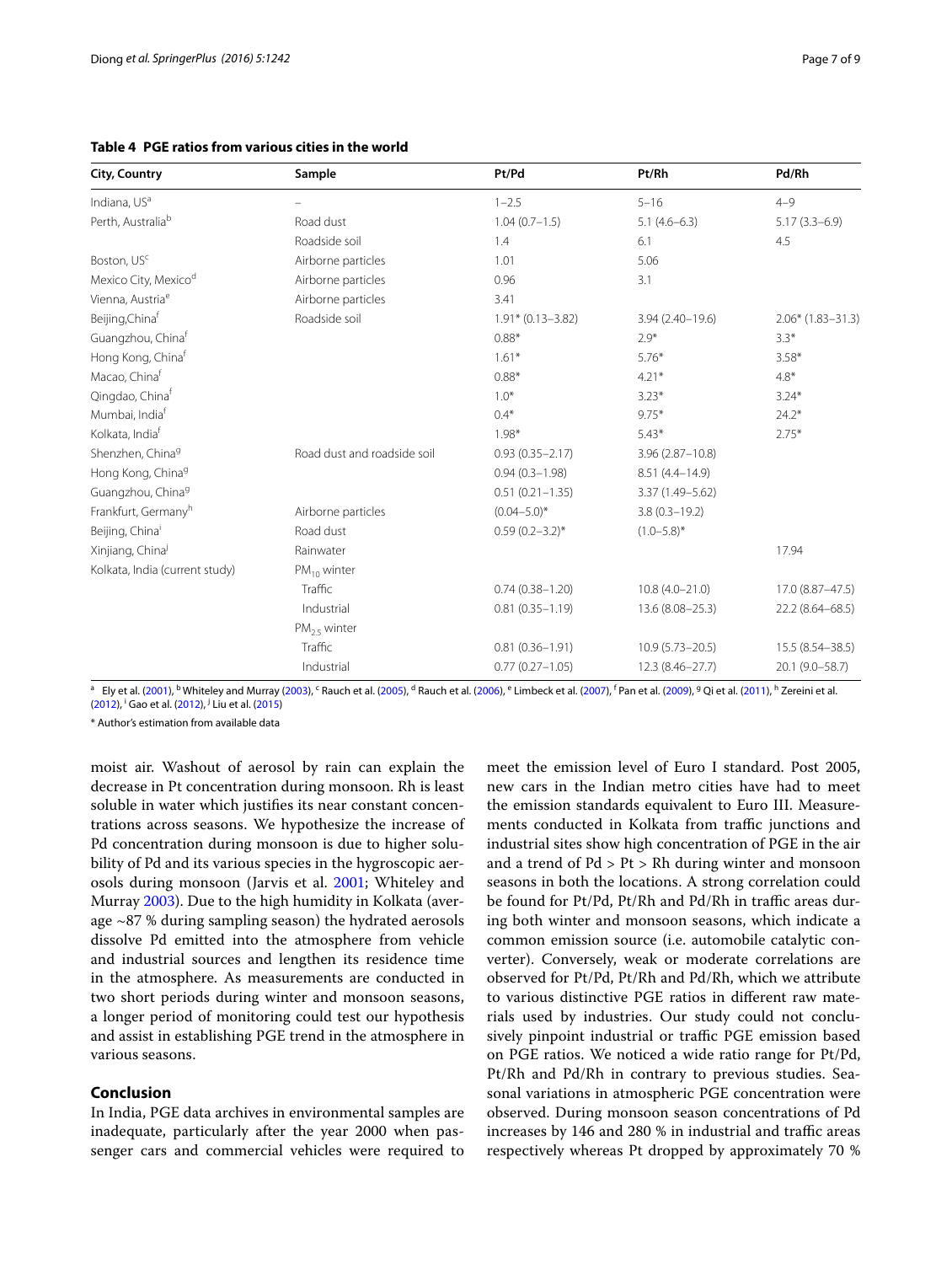| <b>City, Country</b>           | Sample                      | Pt/Pd                 | Pt/Rh               | Pd/Rh               |
|--------------------------------|-----------------------------|-----------------------|---------------------|---------------------|
| Indiana, US <sup>a</sup>       |                             | $1 - 2.5$             | $5 - 16$            | $4 - 9$             |
| Perth, Australia <sup>b</sup>  | Road dust                   | $1.04(0.7-1.5)$       | $5.1(4.6-6.3)$      | $5.17(3.3-6.9)$     |
|                                | Roadside soil               | 1.4                   | 6.1                 | 4.5                 |
| Boston, US <sup>c</sup>        | Airborne particles          | 1.01                  | 5.06                |                     |
| Mexico City, Mexicod           | Airborne particles          | 0.96                  | 3.1                 |                     |
| Vienna, Austria <sup>e</sup>   | Airborne particles          | 3.41                  |                     |                     |
| Beijing, Chinaf                | Roadside soil               | $1.91* (0.13 - 3.82)$ | $3.94(2.40 - 19.6)$ | $2.06*$ (1.83-31.3) |
| Guangzhou, Chinaf              |                             | $0.88*$               | $2.9*$              | $3.3*$              |
| Hong Kong, Chinaf              |                             | $1.61*$               | $5.76*$             | $3.58*$             |
| Macao, China <sup>f</sup>      |                             | $0.88*$               | $4.21*$             | $4.8*$              |
| Qingdao, Chinaf                |                             | $1.0*$                | $3.23*$             | $3.24*$             |
| Mumbai, India <sup>f</sup>     |                             | $0.4*$                | $9.75*$             | $24.2*$             |
| Kolkata, India <sup>f</sup>    |                             | $1.98*$               | $5.43*$             | $2.75*$             |
| Shenzhen, China <sup>9</sup>   | Road dust and roadside soil | $0.93(0.35 - 2.17)$   | $3.96(2.87 - 10.8)$ |                     |
| Hong Kong, China <sup>g</sup>  |                             | $0.94(0.3 - 1.98)$    | 8.51 (4.4-14.9)     |                     |
| Guangzhou, China <sup>9</sup>  |                             | $0.51(0.21 - 1.35)$   | 3.37 (1.49-5.62)    |                     |
| Frankfurt, Germanyh            | Airborne particles          | $(0.04 - 5.0)^*$      | $3.8(0.3 - 19.2)$   |                     |
| Beijing, China                 | Road dust                   | $0.59(0.2-3.2)$ *     | $(1.0 - 5.8)^*$     |                     |
| Xinjiang, China                | Rainwater                   |                       |                     | 17.94               |
| Kolkata, India (current study) | $PM_{10}$ winter            |                       |                     |                     |
|                                | Traffic                     | $0.74(0.38 - 1.20)$   | $10.8(4.0 - 21.0)$  | 17.0 (8.87-47.5)    |
|                                | Industrial                  | $0.81(0.35 - 1.19)$   | 13.6 (8.08-25.3)    | 22.2 (8.64-68.5)    |
|                                | $PM_{2.5}$ winter           |                       |                     |                     |
|                                | Traffic                     | $0.81(0.36 - 1.91)$   | $10.9(5.73 - 20.5)$ | 15.5 (8.54 - 38.5)  |
|                                | Industrial                  | $0.77(0.27 - 1.05)$   | $12.3(8.46 - 27.7)$ | 20.1 (9.0-58.7)     |

<span id="page-6-0"></span>**Table 4 PGE ratios from various cities in the world**

 $^{\sf a}~$  Ely et al. [\(2001](#page-7-23)),  $^{\sf b}$ Whiteley and Murray [\(2003\)](#page-8-21), <sup>c</sup> Rauch et al. [\(2005](#page-8-6)), <sup>d</sup> Rauch et al. [\(2006\)](#page-8-7),  $^{\sf c}$  Limbeck et al. [\(2007](#page-7-24)), <sup>f</sup> Pan et al. ([2009](#page-8-8)), <sup>g</sup> Qi et al. [\(2011\)](#page-8-18), <sup>h</sup> Zereini et al. ([2012](#page-8-9)), <sup>i</sup> Gao et al. [\(2012](#page-7-14)), <sup>j</sup> Liu et al. [\(2015\)](#page-7-15)

\* Author's estimation from available data

moist air. Washout of aerosol by rain can explain the decrease in Pt concentration during monsoon. Rh is least soluble in water which justifies its near constant concentrations across seasons. We hypothesize the increase of Pd concentration during monsoon is due to higher solubility of Pd and its various species in the hygroscopic aerosols during monsoon (Jarvis et al. [2001](#page-7-22); Whiteley and Murray [2003](#page-8-21)). Due to the high humidity in Kolkata (average ~87 % during sampling season) the hydrated aerosols dissolve Pd emitted into the atmosphere from vehicle and industrial sources and lengthen its residence time in the atmosphere. As measurements are conducted in two short periods during winter and monsoon seasons, a longer period of monitoring could test our hypothesis and assist in establishing PGE trend in the atmosphere in various seasons.

# **Conclusion**

In India, PGE data archives in environmental samples are inadequate, particularly after the year 2000 when passenger cars and commercial vehicles were required to

meet the emission level of Euro I standard. Post 2005, new cars in the Indian metro cities have had to meet the emission standards equivalent to Euro III. Measurements conducted in Kolkata from traffic junctions and industrial sites show high concentration of PGE in the air and a trend of Pd > Pt > Rh during winter and monsoon seasons in both the locations. A strong correlation could be found for Pt/Pd, Pt/Rh and Pd/Rh in traffic areas during both winter and monsoon seasons, which indicate a common emission source (i.e. automobile catalytic converter). Conversely, weak or moderate correlations are observed for Pt/Pd, Pt/Rh and Pd/Rh, which we attribute to various distinctive PGE ratios in different raw materials used by industries. Our study could not conclusively pinpoint industrial or traffic PGE emission based on PGE ratios. We noticed a wide ratio range for Pt/Pd, Pt/Rh and Pd/Rh in contrary to previous studies. Seasonal variations in atmospheric PGE concentration were observed. During monsoon season concentrations of Pd increases by 146 and 280 % in industrial and traffic areas respectively whereas Pt dropped by approximately 70 %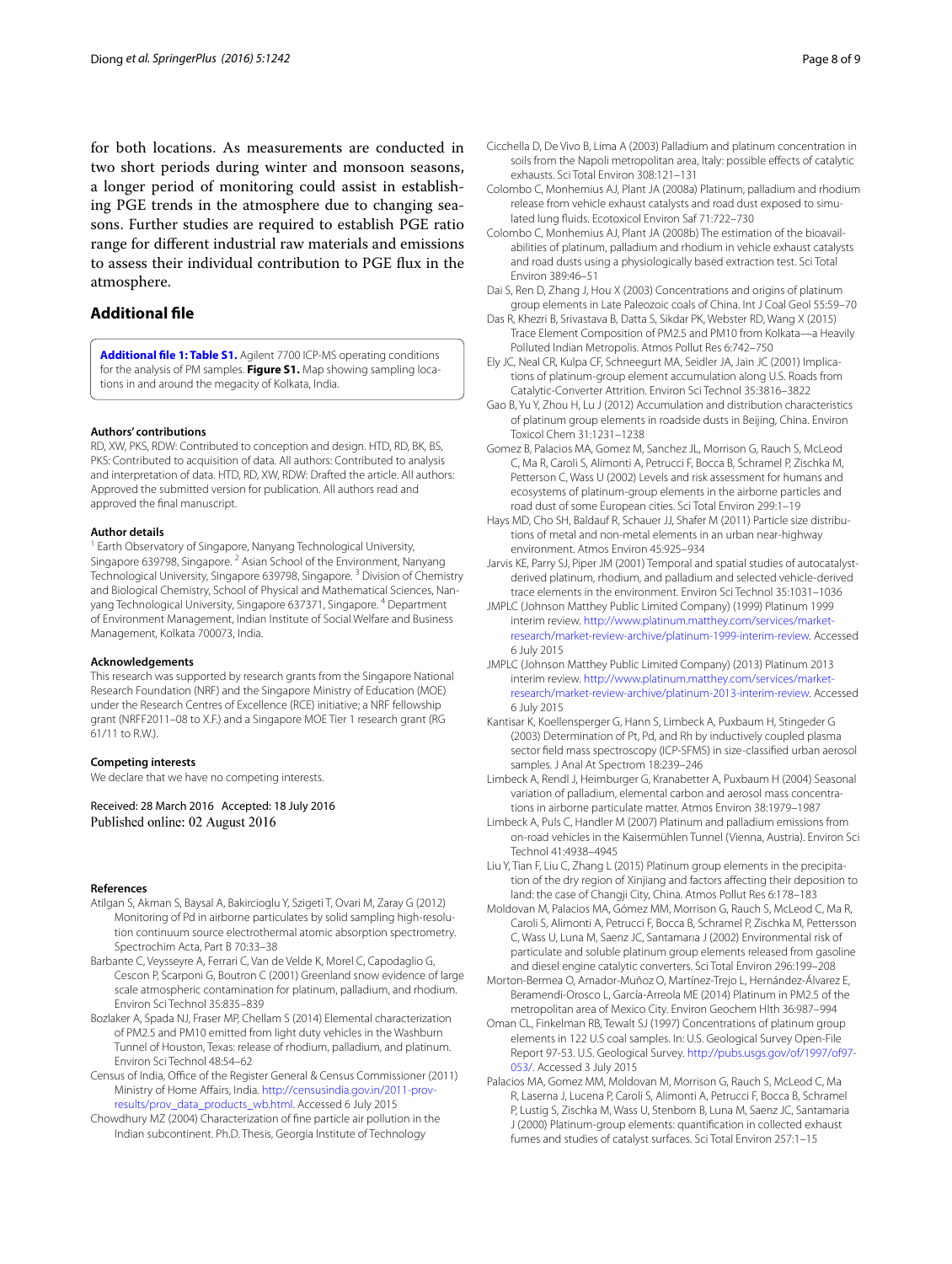for both locations. As measurements are conducted in two short periods during winter and monsoon seasons, a longer period of monitoring could assist in establishing PGE trends in the atmosphere due to changing seasons. Further studies are required to establish PGE ratio range for different industrial raw materials and emissions to assess their individual contribution to PGE flux in the atmosphere.

# **Additional file**

**[Additional file 1: Table S1.](http://dx.doi.org/10.1186/s40064-016-2475-z)** Agilent 7700 ICP-MS operating conditions for the analysis of PM samples. **Figure S1.** Map showing sampling locations in and around the megacity of Kolkata, India.

#### **Authors' contributions**

RD, XW, PKS, RDW: Contributed to conception and design. HTD, RD, BK, BS, PKS: Contributed to acquisition of data. All authors: Contributed to analysis and interpretation of data. HTD, RD, XW, RDW: Drafted the article. All authors: Approved the submitted version for publication. All authors read and approved the final manuscript.

#### **Author details**

<sup>1</sup> Earth Observatory of Singapore, Nanyang Technological University, Singapore 639798, Singapore. <sup>2</sup> Asian School of the Environment, Nanyang Technological University, Singapore 639798, Singapore.<sup>3</sup> Division of Chemistry and Biological Chemistry, School of Physical and Mathematical Sciences, Nanyang Technological University, Singapore 637371, Singapore. 4 Department of Environment Management, Indian Institute of Social Welfare and Business Management, Kolkata 700073, India.

#### **Acknowledgements**

This research was supported by research grants from the Singapore National Research Foundation (NRF) and the Singapore Ministry of Education (MOE) under the Research Centres of Excellence (RCE) initiative; a NRF fellowship grant (NRFF2011–08 to X.F.) and a Singapore MOE Tier 1 research grant (RG 61/11 to R.W.).

#### **Competing interests**

We declare that we have no competing interests.

Received: 28 March 2016 Accepted: 18 July 2016 Published online: 02 August 2016

#### **References**

- <span id="page-7-21"></span>Atilgan S, Akman S, Baysal A, Bakircioglu Y, Szigeti T, Ovari M, Zaray G (2012) Monitoring of Pd in airborne particulates by solid sampling high-resolution continuum source electrothermal atomic absorption spectrometry. Spectrochim Acta, Part B 70:33–38
- <span id="page-7-8"></span>Barbante C, Veysseyre A, Ferrari C, Van de Velde K, Morel C, Capodaglio G, Cescon P, Scarponi G, Boutron C (2001) Greenland snow evidence of large scale atmospheric contamination for platinum, palladium, and rhodium. Environ Sci Technol 35:835–839
- <span id="page-7-4"></span>Bozlaker A, Spada NJ, Fraser MP, Chellam S (2014) Elemental characterization of PM2.5 and PM10 emitted from light duty vehicles in the Washburn Tunnel of Houston, Texas: release of rhodium, palladium, and platinum. Environ Sci Technol 48:54–62
- <span id="page-7-12"></span>Census of India, Office of the Register General & Census Commissioner (2011) Ministry of Home Affairs, India. [http://censusindia.gov.in/2011-prov](http://censusindia.gov.in/2011-prov-results/prov_data_products_wb.html)[results/prov\\_data\\_products\\_wb.html](http://censusindia.gov.in/2011-prov-results/prov_data_products_wb.html). Accessed 6 July 2015
- <span id="page-7-13"></span>Chowdhury MZ (2004) Characterization of fine particle air pollution in the Indian subcontinent. Ph.D. Thesis, Georgia Institute of Technology
- <span id="page-7-0"></span>Cicchella D, De Vivo B, Lima A (2003) Palladium and platinum concentration in soils from the Napoli metropolitan area, Italy: possible effects of catalytic exhausts. Sci Total Environ 308:121–131
- <span id="page-7-17"></span>Colombo C, Monhemius AJ, Plant JA (2008a) Platinum, palladium and rhodium release from vehicle exhaust catalysts and road dust exposed to simulated lung fluids. Ecotoxicol Environ Saf 71:722–730
- <span id="page-7-18"></span>Colombo C, Monhemius AJ, Plant JA (2008b) The estimation of the bioavailabilities of platinum, palladium and rhodium in vehicle exhaust catalysts and road dusts using a physiologically based extraction test. Sci Total Environ 389:46–51
- <span id="page-7-16"></span>Dai S, Ren D, Zhang J, Hou X (2003) Concentrations and origins of platinum group elements in Late Paleozoic coals of China. Int J Coal Geol 55:59–70
- <span id="page-7-11"></span>Das R, Khezri B, Srivastava B, Datta S, Sikdar PK, Webster RD, Wang X (2015) Trace Element Composition of PM2.5 and PM10 from Kolkata—a Heavily Polluted Indian Metropolis. Atmos Pollut Res 6:742–750
- <span id="page-7-23"></span>Ely JC, Neal CR, Kulpa CF, Schneegurt MA, Seidler JA, Jain JC (2001) Implications of platinum-group element accumulation along U.S. Roads from Catalytic-Converter Attrition. Environ Sci Technol 35:3816–3822
- <span id="page-7-14"></span>Gao B, Yu Y, Zhou H, Lu J (2012) Accumulation and distribution characteristics of platinum group elements in roadside dusts in Beijing, China. Environ Toxicol Chem 31:1231–1238
- <span id="page-7-3"></span>Gomez B, Palacios MA, Gomez M, Sanchez JL, Morrison G, Rauch S, McLeod C, Ma R, Caroli S, Alimonti A, Petrucci F, Bocca B, Schramel P, Zischka M, Petterson C, Wass U (2002) Levels and risk assessment for humans and ecosystems of platinum-group elements in the airborne particles and road dust of some European cities. Sci Total Environ 299:1–19
- <span id="page-7-20"></span>Hays MD, Cho SH, Baldauf R, Schauer JJ, Shafer M (2011) Particle size distributions of metal and non-metal elements in an urban near-highway environment. Atmos Environ 45:925–934
- <span id="page-7-22"></span>Jarvis KE, Parry SJ, Piper JM (2001) Temporal and spatial studies of autocatalystderived platinum, rhodium, and palladium and selected vehicle-derived trace elements in the environment. Environ Sci Technol 35:1031–1036
- <span id="page-7-1"></span>JMPLC (Johnson Matthey Public Limited Company) (1999) Platinum 1999 interim review. [http://www.platinum.matthey.com/services/market](http://www.platinum.matthey.com/services/market-research/market-review-archive/platinum-1999-interim-review)[research/market-review-archive/platinum-1999-interim-review](http://www.platinum.matthey.com/services/market-research/market-review-archive/platinum-1999-interim-review). Accessed 6 July 2015
- <span id="page-7-2"></span>JMPLC (Johnson Matthey Public Limited Company) (2013) Platinum 2013 interim review. [http://www.platinum.matthey.com/services/market](http://www.platinum.matthey.com/services/market-research/market-review-archive/platinum-2013-interim-review)[research/market-review-archive/platinum-2013-interim-review](http://www.platinum.matthey.com/services/market-research/market-review-archive/platinum-2013-interim-review). Accessed 6 July 2015
- <span id="page-7-9"></span>Kantisar K, Koellensperger G, Hann S, Limbeck A, Puxbaum H, Stingeder G (2003) Determination of Pt, Pd, and Rh by inductively coupled plasma sector field mass spectroscopy (ICP-SFMS) in size-classified urban aerosol samples. J Anal At Spectrom 18:239–246
- <span id="page-7-10"></span>Limbeck A, Rendl J, Heimburger G, Kranabetter A, Puxbaum H (2004) Seasonal variation of palladium, elemental carbon and aerosol mass concentrations in airborne particulate matter. Atmos Environ 38:1979–1987
- <span id="page-7-24"></span>Limbeck A, Puls C, Handler M (2007) Platinum and palladium emissions from on-road vehicles in the Kaisermühlen Tunnel (Vienna, Austria). Environ Sci Technol 41:4938–4945
- <span id="page-7-15"></span>Liu Y, Tian F, Liu C, Zhang L (2015) Platinum group elements in the precipitation of the dry region of Xinjiang and factors affecting their deposition to land: the case of Changji City, China. Atmos Pollut Res 6:178–183
- <span id="page-7-6"></span>Moldovan M, Palacios MA, Gómez MM, Morrison G, Rauch S, McLeod C, Ma R, Caroli S, Alimonti A, Petrucci F, Bocca B, Schramel P, Zischka M, Pettersson C, Wass U, Luna M, Saenz JC, Santamarıa J (2002) Environmental risk of particulate and soluble platinum group elements released from gasoline and diesel engine catalytic converters. Sci Total Environ 296:199–208
- <span id="page-7-7"></span>Morton-Bermea O, Amador-Muñoz O, Martínez-Trejo L, Hernández-Álvarez E, Beramendi-Orosco L, García-Arreola ME (2014) Platinum in PM2.5 of the metropolitan area of Mexico City. Environ Geochem Hlth 36:987–994
- <span id="page-7-19"></span>Oman CL, Finkelman RB, Tewalt SJ (1997) Concentrations of platinum group elements in 122 U.S coal samples. In: U.S. Geological Survey Open-File Report 97-53. U.S. Geological Survey. [http://pubs.usgs.gov/of/1997/of97-](http://pubs.usgs.gov/of/1997/of97-053/) [053/](http://pubs.usgs.gov/of/1997/of97-053/). Accessed 3 July 2015
- <span id="page-7-5"></span>Palacios MA, Gomez MM, Moldovan M, Morrison G, Rauch S, McLeod C, Ma R, Laserna J, Lucena P, Caroli S, Alimonti A, Petrucci F, Bocca B, Schramel P, Lustig S, Zischka M, Wass U, Stenbom B, Luna M, Saenz JC, Santamaria J (2000) Platinum-group elements: quantification in collected exhaust fumes and studies of catalyst surfaces. Sci Total Environ 257:1–15